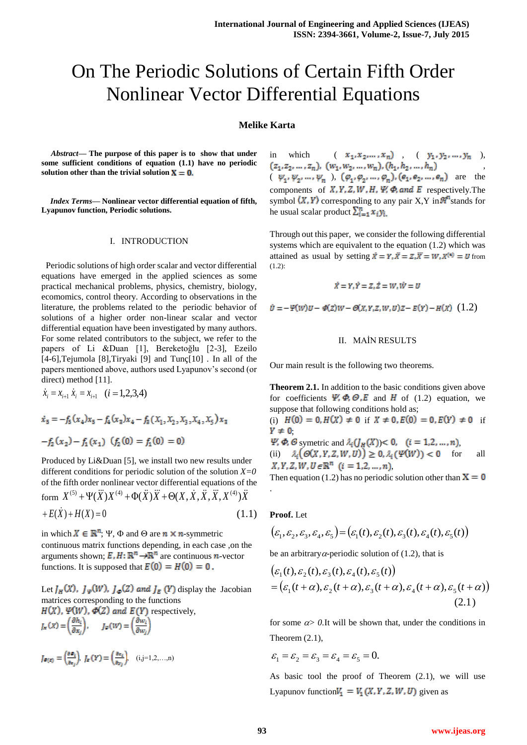# On The Periodic Solutions of Certain Fifth Order Nonlinear Vector Differential Equations

## **Melike Karta**

*Abstract***— The purpose of this paper is to show that under some sufficient conditions of equation (1.1) have no periodic solution other than the trivial solution**  $X = 0$ **.** 

*Index Terms***— Nonlinear vector differential equation of fifth, Lyapunov function, Periodic solutions.**

#### I. INTRODUCTION

 Periodic solutions of high order scalar and vector differential equations have emerged in the applied sciences as some practical mechanical problems, physics, chemistry, biology, ecomomics, control theory. According to observations in the literature, the problems related to the periodic behavior of solutions of a higher order non-linear scalar and vector differential equation have been investigated by many authors. For some related contributors to the subject, we refer to the papers of Li &Duan [1], Bereketoğlu [2-3], Ezeilo [4-6],Tejumola [8],Tiryaki [9] and Tunç[10] . In all of the papers mentioned above, authors used Lyapunov's second (or direct) method [11].

$$
\dot{x}_i = x_{i+1} \dot{x}_i = x_{i+1} \quad (i = 1, 2, 3, 4)
$$
\n
$$
\dot{x}_5 = -f_5(x_4)x_5 - f_4(x_3)x_4 - f_5(x_1, x_2, x_3, x_4, x_5)x_3
$$
\n
$$
-f_2(x_2) - f_1(x_1) \quad (f_2(0) = f_1(0) = 0)
$$

Produced by Li&Duan [5], we install two new results under different conditions for periodic solution of the solution *X=0* of the fifth order nonlinear vector differential equations of the form  $X^{(5)} + \Psi(\ddot{X})X^{(4)} + \Phi(\ddot{X})\ddot{X} + \Theta(X, \dot{X}, \ddot{X}, \ddot{X}, X^{(4)})\ddot{X}$ 

$$
+E(X) + H(X) = 0 \tag{1.1}
$$

in which  $X \in \mathbb{R}^n$ :  $\Psi$ ,  $\Phi$  and  $\Theta$  are  $n \times n$ -symmetric continuous matrix functions depending, in each case ,on the arguments shown;  $E, H: \mathbb{R}^n \to \mathbb{R}^n$  are continuous *n*-vector functions. It is supposed that  $E(0) = H(0) = 0$ .

Let  $J_H(X)$ ,  $J_{\varphi}(W)$ ,  $J_{\varphi}(Z)$  and  $J_E(Y)$  display the Jacobian matrices corresponding to the functions  $H(X)$ ,  $\Psi(W)$ ,  $\Phi(Z)$  and  $E(Y)$  respectively,<br>  $I_n(x) = \left(\frac{\partial h_i}{\partial x_i}\right)$ ,  $I_{\Psi}(W) = \left(\frac{\partial w_i}{\partial w_i}\right)$ 

$$
J_{\Phi(z)} = \left(\frac{\partial \Phi_{i}}{\partial z_{j}}\right), J_{z}(Y) = \left(\frac{\partial e_{i}}{\partial y_{j}}\right), (i, j=1, 2, ..., n)
$$

in which  $(x_1, x_2, ..., x_n)$ ,  $(y_1, y_2, ..., y_n)$ , ,  $(\begin{array}{ccc} \psi_1, \psi_2, \ldots, \psi_n \end{array}), \begin{array}{ccc} (\varphi_1, \varphi_2, \ldots, \varphi_n), (\epsilon_1, \epsilon_2, \ldots, \epsilon_n) \end{array} \text{ are } \text{ the }$ components of  $X, Y, Z, W, H, \Psi, \Phi$ , and E respectively. The symbol  $(X, Y)$  corresponding to any pair X, Y in  $\mathcal{F}^n$  stands for he usual scalar product  $\sum_{i=1}^{n} x_i y_i$ .

Through out this paper, we consider the following differential systems which are equivalent to the equation (1.2) which was attained as usual by setting  $\vec{x} = Y, \vec{x} = Z, \vec{x} = W, x^{(*)} = U$  from (1.2):

$$
\dot{X}=Y, \dot{Y}=Z, \dot{Z}=W, \dot{W}=U
$$

 $\dot{v} = -\Psi(w)v - \Phi(z)w - \Theta(x, y, z, w, v)z - E(y) - H(x)$  (1.2)

## II. MAİN RESULTS

Our main result is the following two theorems.

**Theorem 2.1.** In addition to the basic conditions given above for coefficients  $\Psi$ ,  $\Phi$ ,  $\Theta$ ,  $E$  and  $H$  of (1.2) equation, we suppose that following conditions hold as;

(i)  $H(0) = 0, H(X) \neq 0$  if  $X \neq 0, E(0) = 0, E(Y) \neq 0$  if  $Y \neq 0$ 

 $\Psi$ ,  $\Phi$ ,  $\Theta$  symetric and  $\lambda_i(f_H(X))$  < 0, (*i* = 1,2, ..., *n*), (ii)  $\lambda_i\big(\mathcal O(X,Y,Z,W,U)\big)\geq 0, \lambda_i\big(\mathcal V(W)\big)<0$  for all  $X, Y, Z, W, U \in \mathbb{R}^n$   $(i = 1, 2, ..., n)$ ,

Then equation (1.2) has no periodic solution other than  $X = 0$ 

#### **Proof.** Let

.

$$
(\varepsilon_1, \varepsilon_2, \varepsilon_3, \varepsilon_4, \varepsilon_5) = (\varepsilon_1(t), \varepsilon_2(t), \varepsilon_3(t), \varepsilon_4(t), \varepsilon_5(t))
$$

be an arbitrary  $\alpha$ -periodic solution of (1.2), that is

$$
\begin{aligned} &\left(\varepsilon_1(t), \varepsilon_2(t), \varepsilon_3(t), \varepsilon_4(t), \varepsilon_5(t)\right) \\ &= \left(\varepsilon_1(t+\alpha), \varepsilon_2(t+\alpha), \varepsilon_3(t+\alpha), \varepsilon_4(t+\alpha), \varepsilon_5(t+\alpha)\right) \end{aligned} \tag{2.1}
$$

for some  $\alpha$  0. It will be shown that, under the conditions in Theorem (2.1),

$$
\varepsilon_1 = \varepsilon_2 = \varepsilon_3 = \varepsilon_4 = \varepsilon_5 = 0.
$$

As basic tool the proof of Theorem (2.1), we will use Lyapunov function $V_1 = V_1(X, Y, Z, W, U)$  given as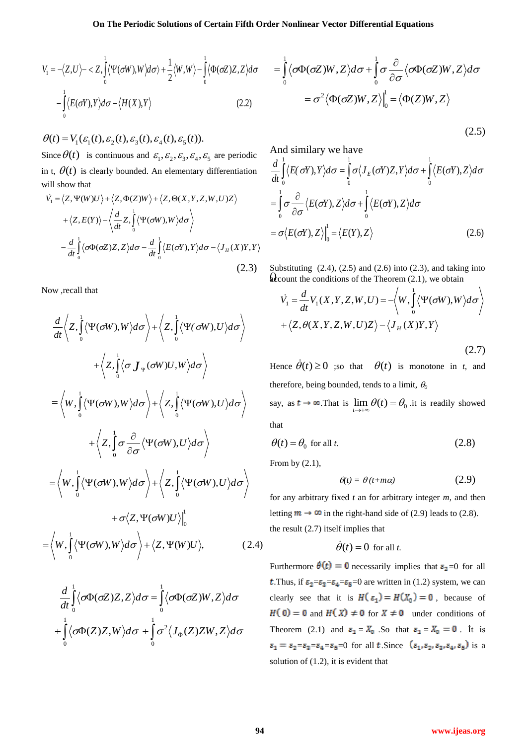$$
V_1 = -\langle Z, U \rangle - \langle Z, \int_0^1 \langle \Psi(\sigma W), W \rangle d\sigma \rangle + \frac{1}{2} \langle W, W \rangle - \int_0^1 \langle \Phi(\sigma Z) Z, Z \rangle d\sigma
$$

$$
- \int_0^1 \langle E(\sigma Y), Y \rangle d\sigma - \langle H(X), Y \rangle \tag{2.2}
$$

 $\theta(t) = V_1(\varepsilon_1(t), \varepsilon_2(t), \varepsilon_3(t), \varepsilon_4(t), \varepsilon_5(t)).$ Since  $\theta(t)$  is continuous and  $\varepsilon_1, \varepsilon_2, \varepsilon_3, \varepsilon_4, \varepsilon_5$  are periodic in t,  $\theta(t)$  is clearly bounded. An elementary differentiation will show that

$$
\dot{V}_1 = \langle Z, \Psi(W)U \rangle + \langle Z, \Phi(Z)W \rangle + \langle Z, \Theta(X, Y, Z, W, U)Z \rangle \n+ \langle Z, E(Y) \rangle - \langle \frac{d}{dt} Z, \int_0^1 \langle \Psi(\sigma W), W \rangle d\sigma \rangle \n- \frac{d}{dt} \int_0^1 \langle \sigma \Phi(\sigma Z) Z, Z \rangle d\sigma - \frac{d}{dt} \int_0^1 \langle E(\sigma Y), Y \rangle d\sigma - \langle J_H(X)Y, Y \rangle \n(2.3)
$$

Now ,recall that

$$
= \int_{0}^{1} \{E(\sigma f), F\} d\sigma - \{H(X), F\}
$$
\n(2.2)  
\n
$$
\theta(t) = V_{1}(E_{1}(t), E_{2}(t), E_{3}(t), E_{4}(t), E_{5}(t))
$$
\n(2.3)  
\nSince  $\theta(t)$  is continuous and  $E_{1}, E_{2}, E_{3}, E_{4}, E_{6}$  are periodic  
\n $\theta(t)$  is continuous and  $E_{1}, E_{2}, E_{3}, E_{4}, E_{6}$  are periodic  
\n $\theta(t)$  is clearly bounded. An elementary differentiation  
\n
$$
\frac{d}{dt} \int_{0}^{1} \{E(\sigma f), Z\} d\sigma + \int_{0}^{1} \{E(\sigma f), Z\} d\sigma
$$
\n
$$
= \int_{0}^{1} \sigma \frac{\partial}{\partial \sigma} \{E(\sigma f), Z\} d\sigma + \int_{0}^{1} \{E(\sigma f), Z\} d\sigma
$$
\n
$$
= \int_{0}^{1} \sigma \frac{\partial}{\partial \sigma} \{E(\sigma f), Z\} d\sigma + \int_{0}^{1} \{E(\sigma f), Z\} d\sigma
$$
\n
$$
= \int_{0}^{1} \sigma \frac{\partial}{\partial \sigma} \{E(\sigma f), Z\} d\sigma + \int_{0}^{1} \{E(\sigma f), Z\} d\sigma
$$
\n(2.3)  
\n
$$
\frac{d}{dt} \left\{ \langle z, \int_{0}^{1} \langle \Psi(\sigma W), W \rangle d\sigma \right\} + \left\langle Z, \int_{0}^{1} \langle \Psi(\sigma W), V \rangle d\sigma \right\rangle
$$
\n(2.4)  
\n
$$
\frac{d}{dt} \left\langle \langle z, \int_{0}^{1} \langle \Psi(\sigma W), W \rangle d\sigma \right\rangle + \left\langle Z, \int_{0}^{1} \langle \Psi(\sigma W), U \rangle d\sigma \right\rangle
$$
\n(2.5)  
\n
$$
= \left\langle W, \int_{0}^{1} \langle \Psi(\sigma W), W \rangle d\sigma \right\rangle + \left\langle Z, \int_{0}^{1} \langle \Psi(\sigma W), U \rangle d\sigma \right\rangle
$$
\nHence  $\hat{\theta}(t) \geq 0$  so that  $\theta(t)$  is monotone,  
\n $$ 

$$
\frac{d}{dt} \int_{0}^{1} \langle \sigma \Phi(\sigma Z) Z, Z \rangle d\sigma = \int_{0}^{1} \langle \sigma \Phi(\sigma Z) W, Z \rangle d\sigma
$$

$$
+ \int_{0}^{1} \langle \sigma \Phi(Z) Z, W \rangle d\sigma + \int_{0}^{1} \sigma^{2} \langle J_{\Phi}(Z) Z W, Z \rangle d\sigma
$$

$$
= \int_{0}^{1} \langle \sigma \Phi(\sigma Z)W, Z \rangle d\sigma + \int_{0}^{1} \sigma \frac{\partial}{\partial \sigma} \langle \sigma \Phi(\sigma Z)W, Z \rangle d\sigma
$$

$$
= \sigma^{2} \langle \Phi(\sigma Z)W, Z \rangle \Big|_{0}^{1} = \langle \Phi(Z)W, Z \rangle
$$

$$
(2.5)
$$

And similarly we have  
\n
$$
\frac{d}{dt} \int_{0}^{1} \langle E(\sigma Y), Y \rangle d\sigma = \int_{0}^{1} \sigma \langle J_{E}(\sigma Y)Z, Y \rangle d\sigma + \int_{0}^{1} \langle E(\sigma Y), Z \rangle d\sigma
$$
\n
$$
= \int_{0}^{1} \sigma \frac{\partial}{\partial \sigma} \langle E(\sigma Y), Z \rangle d\sigma + \int_{0}^{1} \langle E(\sigma Y), Z \rangle d\sigma
$$
\n
$$
= \sigma \langle E(\sigma Y), Z \rangle \Big|_{0}^{1} = \langle E(Y), Z \rangle
$$
\n(2.6)

 $\alpha$ count the conditions of the Theorem (2.1), we obtain Substituting  $(2.4)$ ,  $(2.5)$  and  $(2.6)$  into  $(2.3)$ , and taking into

$$
\dot{V}_1 = \frac{d}{dt} V_1(X, Y, Z, W, U) = -\langle W, \int_0^1 \langle \Psi(\sigma W), W \rangle d\sigma \rangle
$$
  
+  $\langle Z, \theta(X, Y, Z, W, U)Z \rangle - \langle J_H(X)Y, Y \rangle$  (2.7)

Hence  $\dot{\theta}(t) \ge 0$  ;so that  $\theta(t)$  is monotone in *t*, and therefore, being bounded, tends to a limit, *<sup>0</sup>*

say, as  $t \to \infty$ . That is  $\lim_{t \to \infty} \theta(t) = \theta_0$  it is readily showed that

$$
\theta(t) = \theta_0 \text{ for all } t. \tag{2.8}
$$

From by  $(2.1)$ ,

$$
\theta(t) = \theta(t + m\alpha) \tag{2.9}
$$

for any arbitrary fixed *t* an for arbitrary integer *m*, and then letting  $m \to \infty$  in the right-hand side of (2.9) leads to (2.8). the result (2.7) itself implies that

$$
\dot{\theta}(t) = 0 \text{ for all } t.
$$

Furthermore  $\theta(t) = 0$  necessarily implies that  $\varepsilon_2 = 0$  for all **t**. Thus, if  $\epsilon_2 = \epsilon_3 = \epsilon_4 = \epsilon_5 = 0$  are written in (1.2) system, we can clearly see that it is  $H(\varepsilon_1) = H(X_0) = 0$ , because of  $H(0) = 0$  and  $H(X) \neq 0$  for  $X \neq 0$  under conditions of Theorem (2.1) and  $\varepsilon_1 = X_0$ . So that  $\varepsilon_1 = X_0 = 0$ . It is  $\varepsilon_1 = \varepsilon_2 = \varepsilon_3 = \varepsilon_4 = \varepsilon_5 = 0$  for all t. Since  $(\varepsilon_1, \varepsilon_2, \varepsilon_3, \varepsilon_4, \varepsilon_5)$  is a solution of (1.2), it is evident that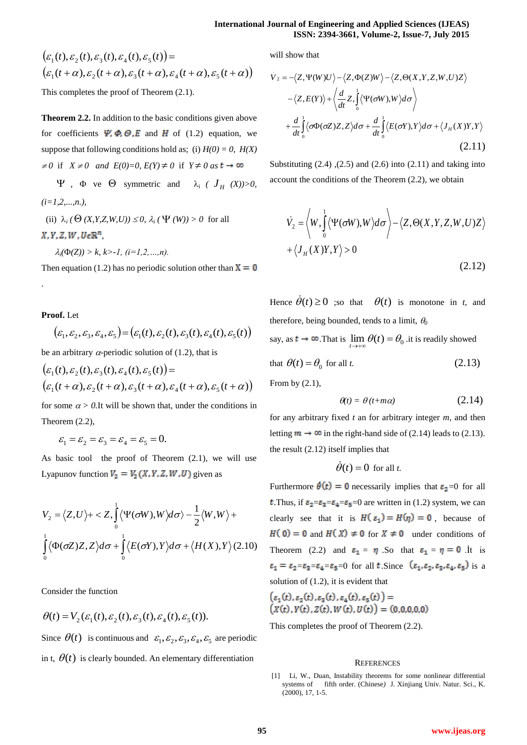$$
\begin{aligned} &\left(\varepsilon_1(t), \varepsilon_2(t), \varepsilon_3(t), \varepsilon_4(t), \varepsilon_5(t)\right) = \\ &\left(\varepsilon_1(t+\alpha), \varepsilon_2(t+\alpha), \varepsilon_3(t+\alpha), \varepsilon_4(t+\alpha), \varepsilon_5(t+\alpha)\right) \end{aligned}
$$

This completes the proof of Theorem (2.1).

**Theorem 2.2.** In addition to the basic conditions given above for coefficients  $\Psi$ ,  $\Phi$ ,  $\Theta$ ,  $E$  and  $H$  of (1.2) equation, we suppose that following conditions hold as; (i)  $H(0) = 0$ ,  $H(X)$  $\neq 0$  if  $X \neq 0$  *and E(0)*=0,  $E(Y) \neq 0$  if  $Y \neq 0$  *as* 

 $\Psi$ ,  $\Phi$  ve  $\Theta$  symmetric and  $\lambda_i$  (  $J_H$  (X))>0, *(i=1,2,...,n.),*

(ii)  $\lambda_i$  ( $\Theta$  (*X,Y,Z,W,U*))  $\leq 0$ ,  $\lambda_i$  ( $\Psi$  (*W*))  $> 0$  for all  $X, Y, Z, W, U \in \mathbb{R}^n$ 

$$
\lambda_i(\Phi(Z)) > k, k > -1, (i=1,2,...,n).
$$

Then equation (1.2) has no periodic solution other than  $X = 0$ 

**Proof.** Let

.

$$
(\varepsilon_1, \varepsilon_2, \varepsilon_3, \varepsilon_4, \varepsilon_5) = (\varepsilon_1(t), \varepsilon_2(t), \varepsilon_3(t), \varepsilon_4(t), \varepsilon_5(t))
$$

be an arbitrary  $\alpha$ -periodic solution of (1.2), that is

$$
\begin{aligned} \left( \varepsilon_1(t), \varepsilon_2(t), \varepsilon_3(t), \varepsilon_4(t), \varepsilon_5(t) \right) &= \\ \left( \varepsilon_1(t+\alpha), \varepsilon_2(t+\alpha), \varepsilon_3(t+\alpha), \varepsilon_4(t+\alpha), \varepsilon_5(t+\alpha) \right) \end{aligned}
$$

for some  $\alpha > 0$ . It will be shown that, under the conditions in Theorem (2.2),

$$
\varepsilon_1 = \varepsilon_2 = \varepsilon_3 = \varepsilon_4 = \varepsilon_5 = 0.
$$

As basic tool the proof of Theorem (2.1), we will use Lyapunov function  $V_2 = V_2(X, Y, Z, W, U)$  given as

$$
V_2 = \langle Z, U \rangle + \langle Z, \int_0^1 \langle \Psi(\sigma W), W \rangle d\sigma \rangle - \frac{1}{2} \langle W, W \rangle +
$$
  

$$
\int_0^1 \langle \Phi(\sigma Z) Z, Z \rangle d\sigma + \int_0^1 \langle E(\sigma Y), Y \rangle d\sigma + \langle H(X), Y \rangle (2.10)
$$

Consider the function

$$
\theta(t) = V_2(\varepsilon_1(t), \varepsilon_2(t), \varepsilon_3(t), \varepsilon_4(t), \varepsilon_5(t)).
$$

Since  $\theta(t)$  is continuous and  $\varepsilon_1, \varepsilon_2, \varepsilon_3, \varepsilon_4, \varepsilon_5$  are periodic in t,  $\theta(t)$  is clearly bounded. An elementary differentiation

will show that

$$
\dot{V}_2 = -\langle Z, \Psi(W)U \rangle - \langle Z, \Phi(Z)W \rangle - \langle Z, \Theta(X, Y, Z, W, U)Z \rangle
$$

$$
-\langle Z, E(Y) \rangle + \langle \frac{d}{dt} Z, \int_0^1 \langle \Psi(\sigma W), W \rangle d\sigma \rangle
$$

$$
+ \frac{d}{dt} \int_0^1 \langle \sigma \Phi(\sigma Z) Z, Z \rangle d\sigma + \frac{d}{dt} \int_0^1 \langle E(\sigma Y), Y \rangle d\sigma + \langle J_H(X)Y, Y \rangle
$$
(2.11)

Substituting  $(2.4)$ ,  $(2.5)$  and  $(2.6)$  into  $(2.11)$  and taking into account the conditions of the Theorem (2.2), we obtain

$$
\dot{V}_2 = \left\langle W, \int_0^1 \left\langle \Psi(\sigma W), W \right\rangle d\sigma \right\rangle - \left\langle Z, \Theta(X, Y, Z, W, U)Z \right\rangle \n+ \left\langle J_H(X)Y, Y \right\rangle > 0
$$
\n(2.12)

Hence  $\dot{\theta}(t) \ge 0$  ;so that  $\theta(t)$  is monotone in *t*, and therefore, being bounded, tends to a limit, *<sup>0</sup>*

say, as  $t \to \infty$ . That is  $\lim_{t \to +\infty} \theta(t) = \theta_0$  it is readily showed that  $\theta(t) = \theta_0$  for all *t*. (2.13)

From by (2.1),

$$
\theta(t) = \theta(t + m\alpha) \tag{2.14}
$$

for any arbitrary fixed *t* an for arbitrary integer *m*, and then letting  $m \to \infty$  in the right-hand side of (2.14) leads to (2.13). the result (2.12) itself implies that

$$
\dot{\theta}(t) = 0
$$
 for all *t*.

Furthermore  $\theta(t) = 0$  necessarily implies that  $\varepsilon_2 = 0$  for all **t**. Thus, if  $\epsilon_2 = \epsilon_3 = \epsilon_4 = \epsilon_5 = 0$  are written in (1.2) system, we can clearly see that it is  $H(\varepsilon_1) = H(\eta) = 0$ , because of  $H(0) = 0$  and  $H(X) \neq 0$  for  $X \neq 0$  under conditions of Theorem (2.2) and  $\epsilon_1 = \eta$ . So that  $\epsilon_1 = \eta = 0$  it is  $\varepsilon_1 = \varepsilon_2 - \varepsilon_3 - \varepsilon_4 - \varepsilon_5 = 0$  for all t. Since  $(\varepsilon_1, \varepsilon_2, \varepsilon_3, \varepsilon_4, \varepsilon_5)$  is a solution of (1.2), it is evident that

$$
\begin{aligned} \left(\varepsilon_1(t), \varepsilon_2(t), \varepsilon_3(t), \varepsilon_4(t), \varepsilon_5(t)\right) &= \\ \left(X(t), Y(t), Z(t), W(t), U(t)\right) &= (0, 0, 0, 0, 0) \end{aligned}
$$

This completes the proof of Theorem (2.2).

## **REFERENCES**

[1] Li, W., Duan, Instability theorems for some nonlinear differential systems of fifth order. (Chinese) J. Xinjiang Univ. Natur. Sci., K. (2000), 17, 1-5.